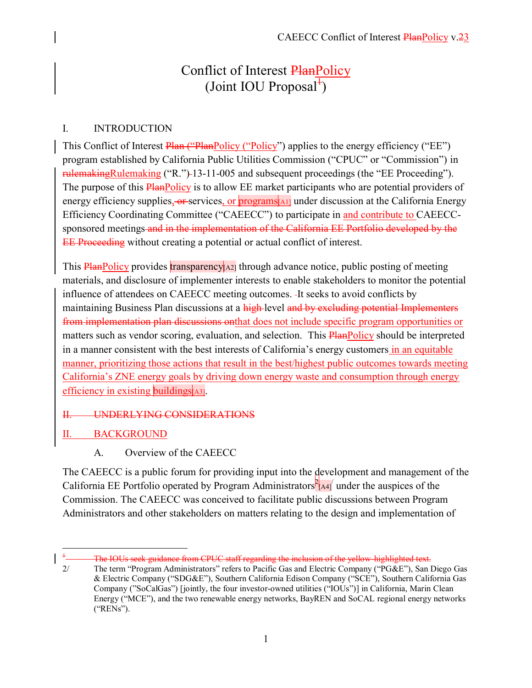# Conflict of Interest PlanPolicy (Joint IOU Proposal $\overline{f}$ )

#### I. INTRODUCTION

This Conflict of Interest Plan ("PlanPolicy ("Policy") applies to the energy efficiency ("EE") program established by California Public Utilities Commission ("CPUC" or "Commission") in rulemakingRulemaking ("R.") 13-11-005 and subsequent proceedings (the "EE Proceeding"). The purpose of this **PlanPolicy** is to allow EE market participants who are potential providers of energy efficiency supplies, or services, or programs[A1] under discussion at the California Energy Efficiency Coordinating Committee ("CAEECC") to participate in and contribute to CAEECCsponsored meetings and in the implementation of the California EE Portfolio developed by the EE Proceeding without creating a potential or actual conflict of interest.

This  $\frac{PlanPolicy}{PlanPolicy}$  provides transparency  $|A2|$  through advance notice, public posting of meeting materials, and disclosure of implementer interests to enable stakeholders to monitor the potential influence of attendees on CAEECC meeting outcomes. It seeks to avoid conflicts by maintaining Business Plan discussions at a high-level and by excluding potential Implementers from implementation plan discussions onthat does not include specific program opportunities or matters such as vendor scoring, evaluation, and selection. This **PlanPolicy** should be interpreted in a manner consistent with the best interests of California's energy customers in an equitable manner, prioritizing those actions that result in the best/highest public outcomes towards meeting California's ZNE energy goals by driving down energy waste and consumption through energy efficiency in existing buildings [A3].

#### II. UNDERLYING CONSIDERATIONS

### II. BACKGROUND

### A. Overview of the CAEECC

The CAEECC is a public forum for providing input into the development and management of the California EE Portfolio operated by Program Administrators  $P_{A4}$  under the auspices of the Commission. The CAEECC was conceived to facilitate public discussions between Program Administrators and other stakeholders on matters relating to the design and implementation of

The IOUs seek guidance from CPUC staff regarding the inclusion of the yellow-highlighted text.

<sup>2/</sup> The term "Program Administrators" refers to Pacific Gas and Electric Company ("PG&E"), San Diego Gas & Electric Company ("SDG&E"), Southern California Edison Company ("SCE"), Southern California Gas Company ("SoCalGas") [jointly, the four investor-owned utilities ("IOUs")] in California, Marin Clean Energy ("MCE"), and the two renewable energy networks, BayREN and SoCAL regional energy networks ("RENs").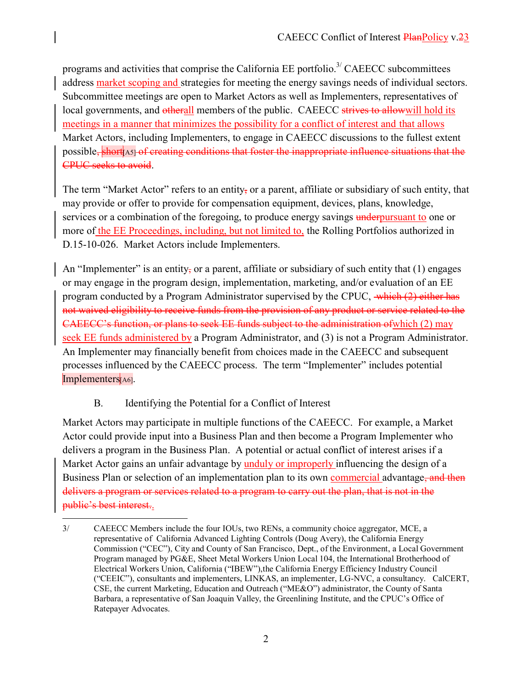programs and activities that comprise the California EE portfolio.<sup>3/</sup> CAEECC subcommittees address market scoping and strategies for meeting the energy savings needs of individual sectors. Subcommittee meetings are open to Market Actors as well as Implementers, representatives of local governments, and otherall members of the public. CAEECC strives to allow will hold its meetings in a manner that minimizes the possibility for a conflict of interest and that allows Market Actors, including Implementers, to engage in CAEECC discussions to the fullest extent possible, short A5] of creating conditions that foster the inappropriate influence situations that the CPUC seeks to avoid.

The term "Market Actor" refers to an entity, or a parent, affiliate or subsidiary of such entity, that may provide or offer to provide for compensation equipment, devices, plans, knowledge, services or a combination of the foregoing, to produce energy savings underpursuant to one or more of the EE Proceedings, including, but not limited to, the Rolling Portfolios authorized in D.15-10-026. Market Actors include Implementers.

An "Implementer" is an entity, or a parent, affiliate or subsidiary of such entity that (1) engages or may engage in the program design, implementation, marketing, and/or evaluation of an EE program conducted by a Program Administrator supervised by the CPUC, which (2) either has not waived eligibility to receive funds from the provision of any product or service related to the CAEECC's function, or plans to seek EE funds subject to the administration ofwhich (2) may seek EE funds administered by a Program Administrator, and (3) is not a Program Administrator. An Implementer may financially benefit from choices made in the CAEECC and subsequent processes influenced by the CAEECC process. The term "Implementer" includes potential Implementers[A6].

### B. Identifying the Potential for a Conflict of Interest

 $\overline{a}$ 

Market Actors may participate in multiple functions of the CAEECC. For example, a Market Actor could provide input into a Business Plan and then become a Program Implementer who delivers a program in the Business Plan. A potential or actual conflict of interest arises if a Market Actor gains an unfair advantage by unduly or improperly influencing the design of a Business Plan or selection of an implementation plan to its own commercial advantage, and then delivers a program or services related to a program to carry out the plan, that is not in the public's best interest..

<sup>3/</sup> CAEECC Members include the four IOUs, two RENs, a community choice aggregator, MCE, a representative of California Advanced Lighting Controls (Doug Avery), the California Energy Commission ("CEC"), City and County of San Francisco, Dept., of the Environment, a Local Government Program managed by PG&E, Sheet Metal Workers Union Local 104, the International Brotherhood of Electrical Workers Union, California ("IBEW"),the California Energy Efficiency Industry Council ("CEEIC"), consultants and implementers, LINKAS, an implementer, LG-NVC, a consultancy. CalCERT, CSE, the current Marketing, Education and Outreach ("ME&O") administrator, the County of Santa Barbara, a representative of San Joaquin Valley, the Greenlining Institute, and the CPUC's Office of Ratepayer Advocates.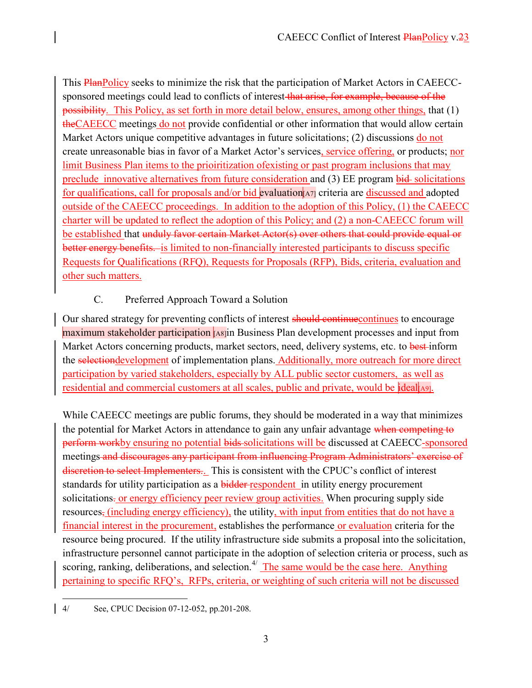This PlanPolicy seeks to minimize the risk that the participation of Market Actors in CAEECCsponsored meetings could lead to conflicts of interest that arise, for example, because of the possibility. This Policy, as set forth in more detail below, ensures, among other things, that (1) theCAEECC meetings do not provide confidential or other information that would allow certain Market Actors unique competitive advantages in future solicitations; (2) discussions do not create unreasonable bias in favor of a Market Actor's services, service offering, or products; nor limit Business Plan items to the prioiritization ofexisting or past program inclusions that may preclude innovative alternatives from future consideration and (3) EE program bid solicitations for qualifications, call for proposals and/or bid evaluation[A7] criteria are discussed and adopted outside of the CAEECC proceedings. In addition to the adoption of this Policy, (1) the CAEECC charter will be updated to reflect the adoption of this Policy; and (2) a non-CAEECC forum will be established that unduly favor certain Market Actor(s) over others that could provide equal or better energy benefits. is limited to non-financially interested participants to discuss specific Requests for Qualifications (RFQ), Requests for Proposals (RFP), Bids, criteria, evaluation and other such matters.

## C. Preferred Approach Toward a Solution

Our shared strategy for preventing conflicts of interest should continue continues to encourage maximum stakeholder participation [A8]in Business Plan development processes and input from Market Actors concerning products, market sectors, need, delivery systems, etc. to best-inform the selectiondevelopment of implementation plans. Additionally, more outreach for more direct participation by varied stakeholders, especially by ALL public sector customers, as well as residential and commercial customers at all scales, public and private, would be ideal

While CAEECC meetings are public forums, they should be moderated in a way that minimizes the potential for Market Actors in attendance to gain any unfair advantage when competing to perform workby ensuring no potential bids solicitations will be discussed at CAEECC-sponsored meetings and discourages any participant from influencing Program Administrators' exercise of discretion to select Implementers.. This is consistent with the CPUC's conflict of interest standards for utility participation as a **bidder** respondent in utility energy procurement solicitations. or energy efficiency peer review group activities. When procuring supply side resources, (including energy efficiency), the utility, with input from entities that do not have a financial interest in the procurement, establishes the performance or evaluation criteria for the resource being procured. If the utility infrastructure side submits a proposal into the solicitation, infrastructure personnel cannot participate in the adoption of selection criteria or process, such as scoring, ranking, deliberations, and selection.<sup>4/</sup> The same would be the case here. Anything pertaining to specific RFQ's, RFPs, criteria, or weighting of such criteria will not be discussed

 $\overline{a}$ 4/ See, CPUC Decision 07-12-052, pp.201-208.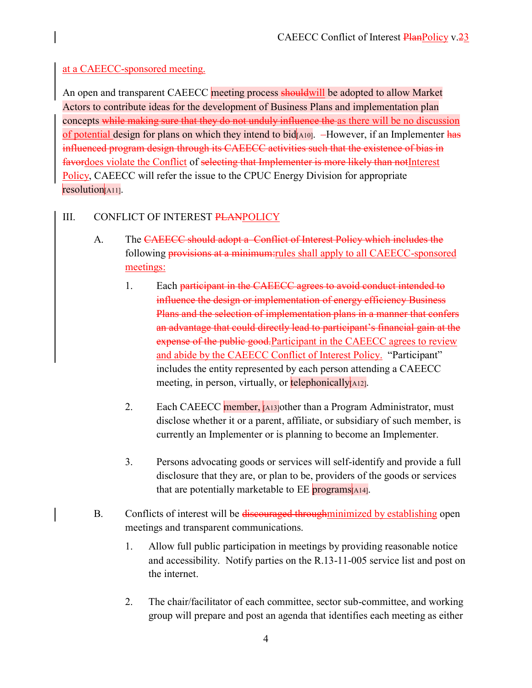### at a CAEECC-sponsored meeting.

An open and transparent CAEECC meeting process should will be adopted to allow Market Actors to contribute ideas for the development of Business Plans and implementation plan concepts while making sure that they do not unduly influence the as there will be no discussion of potential design for plans on which they intend to bid $\vert$ A10]. -However, if an Implementer has influenced program design through its CAEECC activities such that the existence of bias in favordoes violate the Conflict of selecting that Implementer is more likely than notInterest Policy, CAEECC will refer the issue to the CPUC Energy Division for appropriate resolution[A11].

### III. CONFLICT OF INTEREST PLANPOLICY

- A. The CAEECC should adopt a Conflict of Interest Policy which includes the following **provisions at a minimum:**rules shall apply to all CAEECC-sponsored meetings:
	- 1. Each participant in the CAEECC agrees to avoid conduct intended to influence the design or implementation of energy efficiency Business Plans and the selection of implementation plans in a manner that confers an advantage that could directly lead to participant's financial gain at the expense of the public good. Participant in the CAEECC agrees to review and abide by the CAEECC Conflict of Interest Policy. "Participant" includes the entity represented by each person attending a CAEECC meeting, in person, virtually, or **telephonically** [A12].
	- 2. Each CAEECC member, [A13]other than a Program Administrator, must disclose whether it or a parent, affiliate, or subsidiary of such member, is currently an Implementer or is planning to become an Implementer.
	- 3. Persons advocating goods or services will self-identify and provide a full disclosure that they are, or plan to be, providers of the goods or services that are potentially marketable to EE programs[A14].
- B. Conflicts of interest will be discouraged through minimized by establishing open meetings and transparent communications.
	- 1. Allow full public participation in meetings by providing reasonable notice and accessibility. Notify parties on the R.13-11-005 service list and post on the internet.
	- 2. The chair/facilitator of each committee, sector sub-committee, and working group will prepare and post an agenda that identifies each meeting as either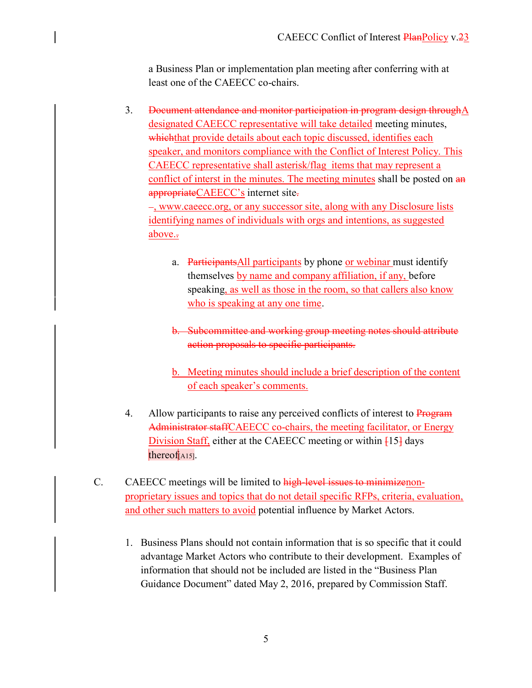a Business Plan or implementation plan meeting after conferring with at least one of the CAEECC co-chairs.

3. Document attendance and monitor participation in program design throughA designated CAEECC representative will take detailed meeting minutes, whichthat provide details about each topic discussed, identifies each speaker, and monitors compliance with the Conflict of Interest Policy. This CAEECC representative shall asterisk/flag items that may represent a conflict of interst in the minutes. The meeting minutes shall be posted on  $\frac{a_n}{b_n}$ appropriateCAEECC's internet site. , www.caeecc.org, or any successor site, along with any Disclosure lists

identifying names of individuals with orgs and intentions, as suggested above.

- a. ParticipantsAll participants by phone or webinar must identify themselves by name and company affiliation, if any, before speaking, as well as those in the room, so that callers also know who is speaking at any one time.
- b. Subcommittee and working group meeting notes should attribute action proposals to specific participants.
- b. Meeting minutes should include a brief description of the content of each speaker's comments.
- 4. Allow participants to raise any perceived conflicts of interest to Program Administrator staffCAEECC co-chairs, the meeting facilitator, or Energy Division Staff, either at the CAEECC meeting or within  $[15]$  days thereof $[$ A15].
- C. CAEECC meetings will be limited to high-level issues to minimizenonproprietary issues and topics that do not detail specific RFPs, criteria, evaluation, and other such matters to avoid potential influence by Market Actors.
	- 1. Business Plans should not contain information that is so specific that it could advantage Market Actors who contribute to their development. Examples of information that should not be included are listed in the "Business Plan Guidance Document" dated May 2, 2016, prepared by Commission Staff.